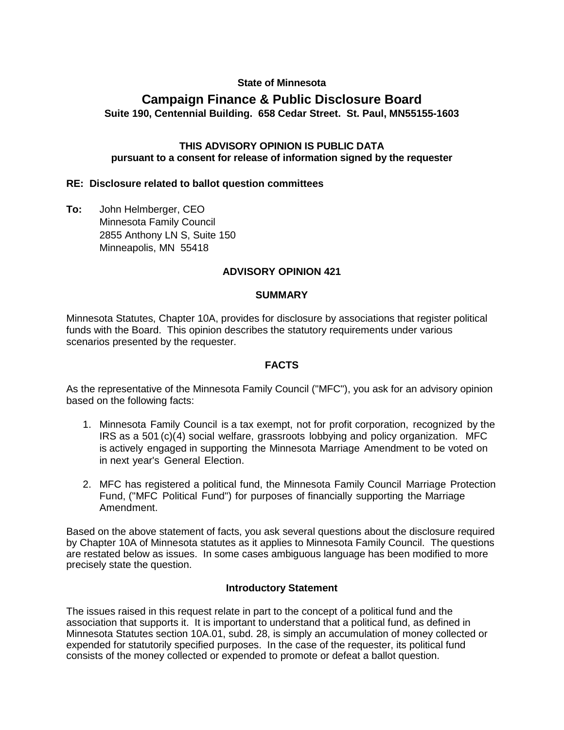# **State of Minnesota**

# **Campaign Finance & Public Disclosure Board Suite 190, Centennial Building. 658 Cedar Street. St. Paul, MN55155-1603**

#### **THIS ADVISORY OPINION IS PUBLIC DATA pursuant to a consent for release of information signed by the requester**

#### **RE: Disclosure related to ballot question committees**

**To:** John Helmberger, CEO Minnesota Family Council 2855 Anthony LN S, Suite 150 Minneapolis, MN 55418

#### **ADVISORY OPINION 421**

#### **SUMMARY**

Minnesota Statutes, Chapter 10A, provides for disclosure by associations that register political funds with the Board. This opinion describes the statutory requirements under various scenarios presented by the requester.

#### **FACTS**

As the representative of the Minnesota Family Council ("MFC"), you ask for an advisory opinion based on the following facts:

- 1. Minnesota Family Council is a tax exempt, not for profit corporation, recognized by the IRS as a 501 (c)(4) social welfare, grassroots lobbying and policy organization. MFC is actively engaged in supporting the Minnesota Marriage Amendment to be voted on in next year's General Election.
- 2. MFC has registered a political fund, the Minnesota Family Council Marriage Protection Fund, ("MFC Political Fund") for purposes of financially supporting the Marriage Amendment.

Based on the above statement of facts, you ask several questions about the disclosure required by Chapter 10A of Minnesota statutes as it applies to Minnesota Family Council. The questions are restated below as issues. In some cases ambiguous language has been modified to more precisely state the question.

#### **Introductory Statement**

The issues raised in this request relate in part to the concept of a political fund and the association that supports it. It is important to understand that a political fund, as defined in Minnesota Statutes section 10A.01, subd. 28, is simply an accumulation of money collected or expended for statutorily specified purposes. In the case of the requester, its political fund consists of the money collected or expended to promote or defeat a ballot question.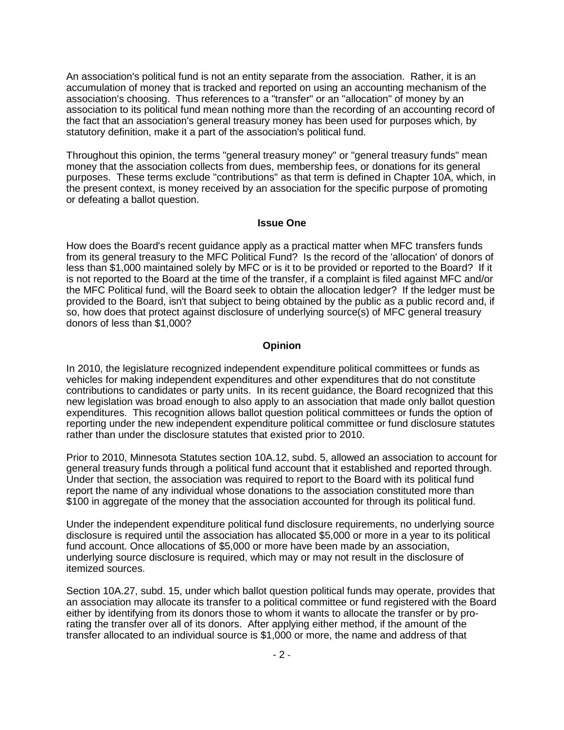An association's political fund is not an entity separate from the association. Rather, it is an accumulation of money that is tracked and reported on using an accounting mechanism of the association's choosing. Thus references to a "transfer" or an "allocation" of money by an association to its political fund mean nothing more than the recording of an accounting record of the fact that an association's general treasury money has been used for purposes which, by statutory definition, make it a part of the association's political fund.

Throughout this opinion, the terms "general treasury money" or "general treasury funds" mean money that the association collects from dues, membership fees, or donations for its general purposes. These terms exclude "contributions" as that term is defined in Chapter 10A, which, in the present context, is money received by an association for the specific purpose of promoting or defeating a ballot question.

#### **Issue One**

How does the Board's recent guidance apply as a practical matter when MFC transfers funds from its general treasury to the MFC Political Fund? Is the record of the 'allocation' of donors of less than \$1,000 maintained solely by MFC or is it to be provided or reported to the Board? If it is not reported to the Board at the time of the transfer, if a complaint is filed against MFC and/or the MFC Political fund, will the Board seek to obtain the allocation ledger? If the ledger must be provided to the Board, isn't that subject to being obtained by the public as a public record and, if so, how does that protect against disclosure of underlying source(s) of MFC general treasury donors of less than \$1,000?

#### **Opinion**

In 2010, the legislature recognized independent expenditure political committees or funds as vehicles for making independent expenditures and other expenditures that do not constitute contributions to candidates or party units. In its recent guidance, the Board recognized that this new legislation was broad enough to also apply to an association that made only ballot question expenditures. This recognition allows ballot question political committees or funds the option of reporting under the new independent expenditure political committee or fund disclosure statutes rather than under the disclosure statutes that existed prior to 2010.

Prior to 2010, Minnesota Statutes section 10A.12, subd. 5, allowed an association to account for general treasury funds through a political fund account that it established and reported through. Under that section, the association was required to report to the Board with its political fund report the name of any individual whose donations to the association constituted more than \$100 in aggregate of the money that the association accounted for through its political fund.

Under the independent expenditure political fund disclosure requirements, no underlying source disclosure is required until the association has allocated \$5,000 or more in a year to its political fund account. Once allocations of \$5,000 or more have been made by an association, underlying source disclosure is required, which may or may not result in the disclosure of itemized sources.

Section 10A.27, subd. 15, under which ballot question political funds may operate, provides that an association may allocate its transfer to a political committee or fund registered with the Board either by identifying from its donors those to whom it wants to allocate the transfer or by prorating the transfer over all of its donors. After applying either method, if the amount of the transfer allocated to an individual source is \$1,000 or more, the name and address of that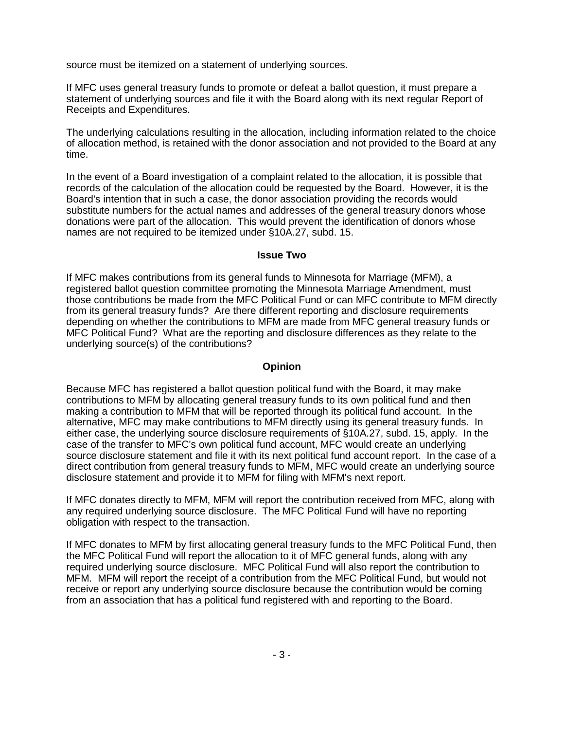source must be itemized on a statement of underlying sources.

If MFC uses general treasury funds to promote or defeat a ballot question, it must prepare a statement of underlying sources and file it with the Board along with its next regular Report of Receipts and Expenditures.

The underlying calculations resulting in the allocation, including information related to the choice of allocation method, is retained with the donor association and not provided to the Board at any time.

In the event of a Board investigation of a complaint related to the allocation, it is possible that records of the calculation of the allocation could be requested by the Board. However, it is the Board's intention that in such a case, the donor association providing the records would substitute numbers for the actual names and addresses of the general treasury donors whose donations were part of the allocation. This would prevent the identification of donors whose names are not required to be itemized under §10A.27, subd. 15.

#### **Issue Two**

If MFC makes contributions from its general funds to Minnesota for Marriage (MFM), a registered ballot question committee promoting the Minnesota Marriage Amendment, must those contributions be made from the MFC Political Fund or can MFC contribute to MFM directly from its general treasury funds? Are there different reporting and disclosure requirements depending on whether the contributions to MFM are made from MFC general treasury funds or MFC Political Fund? What are the reporting and disclosure differences as they relate to the underlying source(s) of the contributions?

### **Opinion**

Because MFC has registered a ballot question political fund with the Board, it may make contributions to MFM by allocating general treasury funds to its own political fund and then making a contribution to MFM that will be reported through its political fund account. In the alternative, MFC may make contributions to MFM directly using its general treasury funds. In either case, the underlying source disclosure requirements of §10A.27, subd. 15, apply. In the case of the transfer to MFC's own political fund account, MFC would create an underlying source disclosure statement and file it with its next political fund account report. In the case of a direct contribution from general treasury funds to MFM, MFC would create an underlying source disclosure statement and provide it to MFM for filing with MFM's next report.

If MFC donates directly to MFM, MFM will report the contribution received from MFC, along with any required underlying source disclosure. The MFC Political Fund will have no reporting obligation with respect to the transaction.

If MFC donates to MFM by first allocating general treasury funds to the MFC Political Fund, then the MFC Political Fund will report the allocation to it of MFC general funds, along with any required underlying source disclosure. MFC Political Fund will also report the contribution to MFM. MFM will report the receipt of a contribution from the MFC Political Fund, but would not receive or report any underlying source disclosure because the contribution would be coming from an association that has a political fund registered with and reporting to the Board.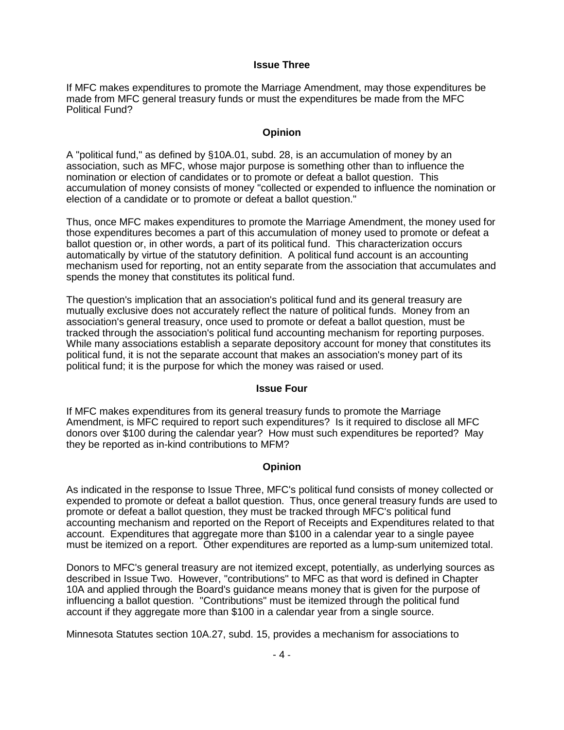#### **Issue Three**

If MFC makes expenditures to promote the Marriage Amendment, may those expenditures be made from MFC general treasury funds or must the expenditures be made from the MFC Political Fund?

# **Opinion**

A "political fund," as defined by §10A.01, subd. 28, is an accumulation of money by an association, such as MFC, whose major purpose is something other than to influence the nomination or election of candidates or to promote or defeat a ballot question. This accumulation of money consists of money "collected or expended to influence the nomination or election of a candidate or to promote or defeat a ballot question."

Thus, once MFC makes expenditures to promote the Marriage Amendment, the money used for those expenditures becomes a part of this accumulation of money used to promote or defeat a ballot question or, in other words, a part of its political fund. This characterization occurs automatically by virtue of the statutory definition. A political fund account is an accounting mechanism used for reporting, not an entity separate from the association that accumulates and spends the money that constitutes its political fund.

The question's implication that an association's political fund and its general treasury are mutually exclusive does not accurately reflect the nature of political funds. Money from an association's general treasury, once used to promote or defeat a ballot question, must be tracked through the association's political fund accounting mechanism for reporting purposes. While many associations establish a separate depository account for money that constitutes its political fund, it is not the separate account that makes an association's money part of its political fund; it is the purpose for which the money was raised or used.

#### **Issue Four**

If MFC makes expenditures from its general treasury funds to promote the Marriage Amendment, is MFC required to report such expenditures? Is it required to disclose all MFC donors over \$100 during the calendar year? How must such expenditures be reported? May they be reported as in-kind contributions to MFM?

# **Opinion**

As indicated in the response to Issue Three, MFC's political fund consists of money collected or expended to promote or defeat a ballot question. Thus, once general treasury funds are used to promote or defeat a ballot question, they must be tracked through MFC's political fund accounting mechanism and reported on the Report of Receipts and Expenditures related to that account. Expenditures that aggregate more than \$100 in a calendar year to a single payee must be itemized on a report. Other expenditures are reported as a lump-sum unitemized total.

Donors to MFC's general treasury are not itemized except, potentially, as underlying sources as described in Issue Two. However, "contributions" to MFC as that word is defined in Chapter 10A and applied through the Board's guidance means money that is given for the purpose of influencing a ballot question. "Contributions" must be itemized through the political fund account if they aggregate more than \$100 in a calendar year from a single source.

Minnesota Statutes section 10A.27, subd. 15, provides a mechanism for associations to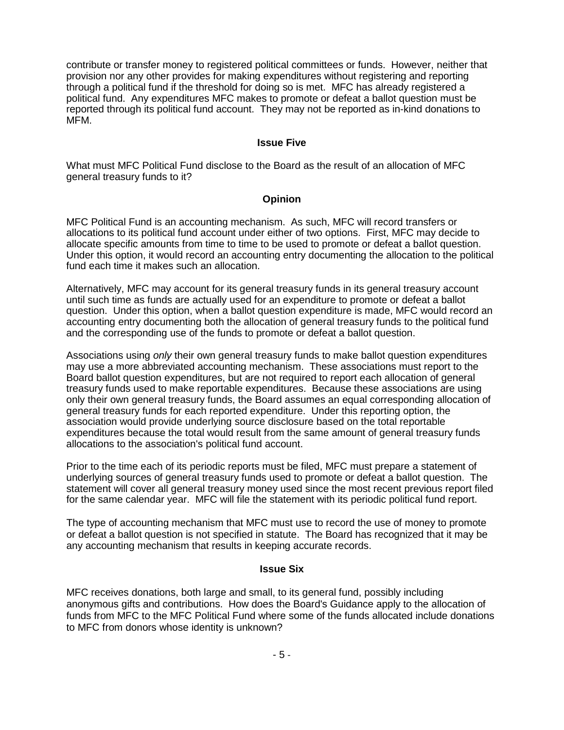contribute or transfer money to registered political committees or funds. However, neither that provision nor any other provides for making expenditures without registering and reporting through a political fund if the threshold for doing so is met. MFC has already registered a political fund. Any expenditures MFC makes to promote or defeat a ballot question must be reported through its political fund account. They may not be reported as in-kind donations to MFM.

#### **Issue Five**

What must MFC Political Fund disclose to the Board as the result of an allocation of MFC general treasury funds to it?

### **Opinion**

MFC Political Fund is an accounting mechanism. As such, MFC will record transfers or allocations to its political fund account under either of two options. First, MFC may decide to allocate specific amounts from time to time to be used to promote or defeat a ballot question. Under this option, it would record an accounting entry documenting the allocation to the political fund each time it makes such an allocation.

Alternatively, MFC may account for its general treasury funds in its general treasury account until such time as funds are actually used for an expenditure to promote or defeat a ballot question. Under this option, when a ballot question expenditure is made, MFC would record an accounting entry documenting both the allocation of general treasury funds to the political fund and the corresponding use of the funds to promote or defeat a ballot question.

Associations using *only* their own general treasury funds to make ballot question expenditures may use a more abbreviated accounting mechanism. These associations must report to the Board ballot question expenditures, but are not required to report each allocation of general treasury funds used to make reportable expenditures. Because these associations are using only their own general treasury funds, the Board assumes an equal corresponding allocation of general treasury funds for each reported expenditure. Under this reporting option, the association would provide underlying source disclosure based on the total reportable expenditures because the total would result from the same amount of general treasury funds allocations to the association's political fund account.

Prior to the time each of its periodic reports must be filed, MFC must prepare a statement of underlying sources of general treasury funds used to promote or defeat a ballot question. The statement will cover all general treasury money used since the most recent previous report filed for the same calendar year. MFC will file the statement with its periodic political fund report.

The type of accounting mechanism that MFC must use to record the use of money to promote or defeat a ballot question is not specified in statute. The Board has recognized that it may be any accounting mechanism that results in keeping accurate records.

#### **Issue Six**

MFC receives donations, both large and small, to its general fund, possibly including anonymous gifts and contributions. How does the Board's Guidance apply to the allocation of funds from MFC to the MFC Political Fund where some of the funds allocated include donations to MFC from donors whose identity is unknown?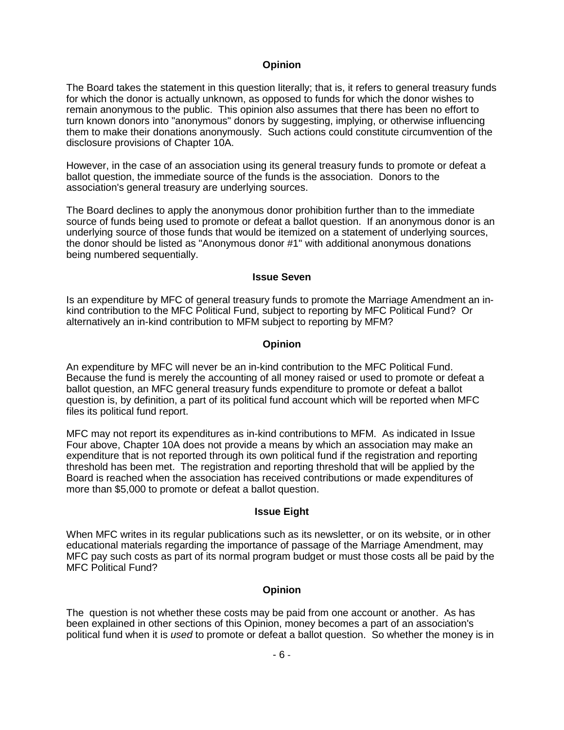#### **Opinion**

The Board takes the statement in this question literally; that is, it refers to general treasury funds for which the donor is actually unknown, as opposed to funds for which the donor wishes to remain anonymous to the public. This opinion also assumes that there has been no effort to turn known donors into "anonymous" donors by suggesting, implying, or otherwise influencing them to make their donations anonymously. Such actions could constitute circumvention of the disclosure provisions of Chapter 10A.

However, in the case of an association using its general treasury funds to promote or defeat a ballot question, the immediate source of the funds is the association. Donors to the association's general treasury are underlying sources.

The Board declines to apply the anonymous donor prohibition further than to the immediate source of funds being used to promote or defeat a ballot question. If an anonymous donor is an underlying source of those funds that would be itemized on a statement of underlying sources, the donor should be listed as "Anonymous donor #1" with additional anonymous donations being numbered sequentially.

#### **Issue Seven**

Is an expenditure by MFC of general treasury funds to promote the Marriage Amendment an inkind contribution to the MFC Political Fund, subject to reporting by MFC Political Fund? Or alternatively an in-kind contribution to MFM subject to reporting by MFM?

# **Opinion**

An expenditure by MFC will never be an in-kind contribution to the MFC Political Fund. Because the fund is merely the accounting of all money raised or used to promote or defeat a ballot question, an MFC general treasury funds expenditure to promote or defeat a ballot question is, by definition, a part of its political fund account which will be reported when MFC files its political fund report.

MFC may not report its expenditures as in-kind contributions to MFM. As indicated in Issue Four above, Chapter 10A does not provide a means by which an association may make an expenditure that is not reported through its own political fund if the registration and reporting threshold has been met. The registration and reporting threshold that will be applied by the Board is reached when the association has received contributions or made expenditures of more than \$5,000 to promote or defeat a ballot question.

# **Issue Eight**

When MFC writes in its regular publications such as its newsletter, or on its website, or in other educational materials regarding the importance of passage of the Marriage Amendment, may MFC pay such costs as part of its normal program budget or must those costs all be paid by the MFC Political Fund?

# **Opinion**

The question is not whether these costs may be paid from one account or another. As has been explained in other sections of this Opinion, money becomes a part of an association's political fund when it is *used* to promote or defeat a ballot question. So whether the money is in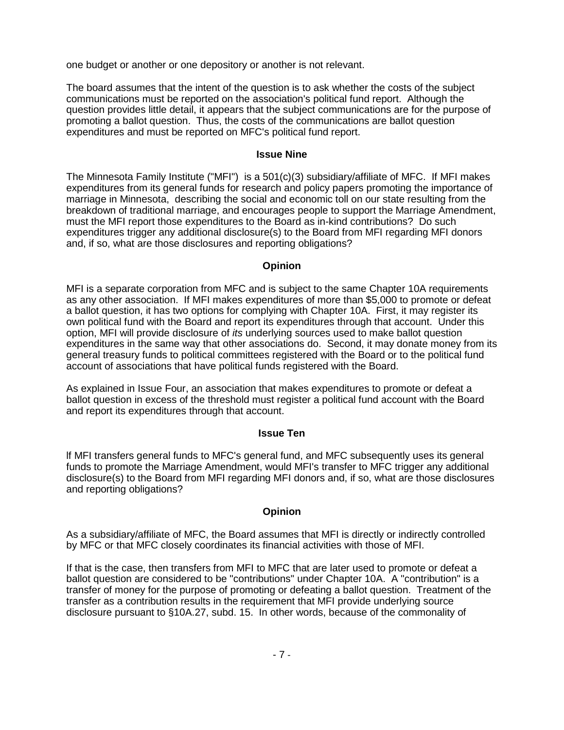one budget or another or one depository or another is not relevant.

The board assumes that the intent of the question is to ask whether the costs of the subject communications must be reported on the association's political fund report. Although the question provides little detail, it appears that the subject communications are for the purpose of promoting a ballot question. Thus, the costs of the communications are ballot question expenditures and must be reported on MFC's political fund report.

#### **Issue Nine**

The Minnesota Family Institute ("MFI") is a 501(c)(3) subsidiary/affiliate of MFC. If MFI makes expenditures from its general funds for research and policy papers promoting the importance of marriage in Minnesota, describing the social and economic toll on our state resulting from the breakdown of traditional marriage, and encourages people to support the Marriage Amendment, must the MFI report those expenditures to the Board as in-kind contributions? Do such expenditures trigger any additional disclosure(s) to the Board from MFI regarding MFI donors and, if so, what are those disclosures and reporting obligations?

### **Opinion**

MFI is a separate corporation from MFC and is subject to the same Chapter 10A requirements as any other association. If MFI makes expenditures of more than \$5,000 to promote or defeat a ballot question, it has two options for complying with Chapter 10A. First, it may register its own political fund with the Board and report its expenditures through that account. Under this option, MFI will provide disclosure of *its* underlying sources used to make ballot question expenditures in the same way that other associations do. Second, it may donate money from its general treasury funds to political committees registered with the Board or to the political fund account of associations that have political funds registered with the Board.

As explained in Issue Four, an association that makes expenditures to promote or defeat a ballot question in excess of the threshold must register a political fund account with the Board and report its expenditures through that account.

# **Issue Ten**

lf MFI transfers general funds to MFC's general fund, and MFC subsequently uses its general funds to promote the Marriage Amendment, would MFI's transfer to MFC trigger any additional disclosure(s) to the Board from MFI regarding MFI donors and, if so, what are those disclosures and reporting obligations?

# **Opinion**

As a subsidiary/affiliate of MFC, the Board assumes that MFI is directly or indirectly controlled by MFC or that MFC closely coordinates its financial activities with those of MFI.

If that is the case, then transfers from MFI to MFC that are later used to promote or defeat a ballot question are considered to be "contributions" under Chapter 10A. A "contribution" is a transfer of money for the purpose of promoting or defeating a ballot question. Treatment of the transfer as a contribution results in the requirement that MFI provide underlying source disclosure pursuant to §10A.27, subd. 15. In other words, because of the commonality of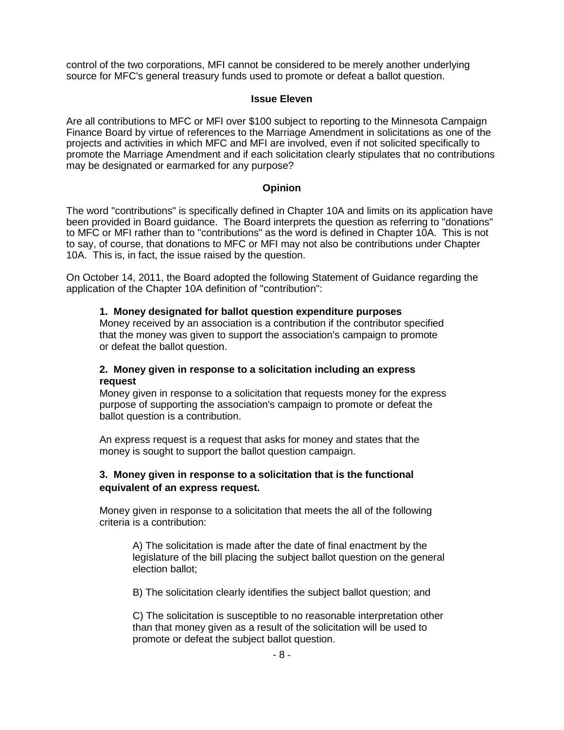control of the two corporations, MFI cannot be considered to be merely another underlying source for MFC's general treasury funds used to promote or defeat a ballot question.

#### **Issue Eleven**

Are all contributions to MFC or MFI over \$100 subject to reporting to the Minnesota Campaign Finance Board by virtue of references to the Marriage Amendment in solicitations as one of the projects and activities in which MFC and MFI are involved, even if not solicited specifically to promote the Marriage Amendment and if each solicitation clearly stipulates that no contributions may be designated or earmarked for any purpose?

# **Opinion**

The word "contributions" is specifically defined in Chapter 10A and limits on its application have been provided in Board guidance. The Board interprets the question as referring to "donations" to MFC or MFI rather than to "contributions" as the word is defined in Chapter 10A. This is not to say, of course, that donations to MFC or MFI may not also be contributions under Chapter 10A. This is, in fact, the issue raised by the question.

On October 14, 2011, the Board adopted the following Statement of Guidance regarding the application of the Chapter 10A definition of "contribution":

### **1. Money designated for ballot question expenditure purposes**

Money received by an association is a contribution if the contributor specified that the money was given to support the association's campaign to promote or defeat the ballot question.

### **2. Money given in response to a solicitation including an express request**

Money given in response to a solicitation that requests money for the express purpose of supporting the association's campaign to promote or defeat the ballot question is a contribution.

An express request is a request that asks for money and states that the money is sought to support the ballot question campaign.

# **3. Money given in response to a solicitation that is the functional equivalent of an express request.**

Money given in response to a solicitation that meets the all of the following criteria is a contribution:

A) The solicitation is made after the date of final enactment by the legislature of the bill placing the subject ballot question on the general election ballot;

B) The solicitation clearly identifies the subject ballot question; and

C) The solicitation is susceptible to no reasonable interpretation other than that money given as a result of the solicitation will be used to promote or defeat the subject ballot question.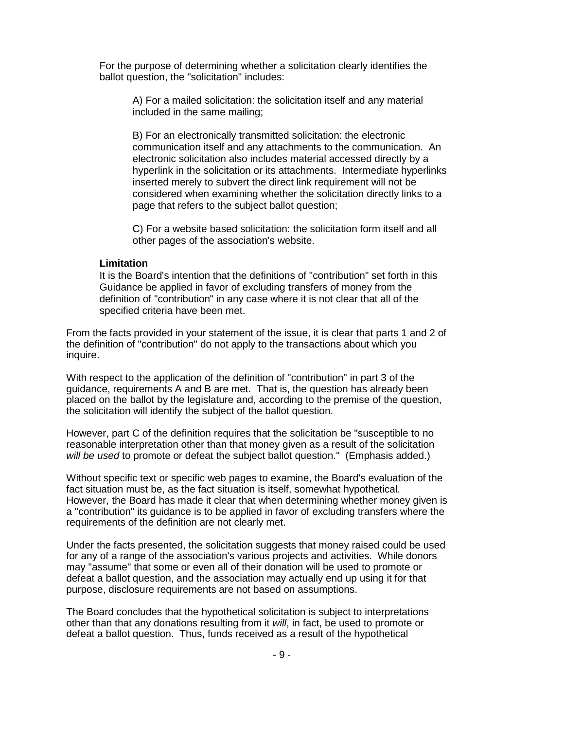For the purpose of determining whether a solicitation clearly identifies the ballot question, the "solicitation" includes:

A) For a mailed solicitation: the solicitation itself and any material included in the same mailing;

B) For an electronically transmitted solicitation: the electronic communication itself and any attachments to the communication. An electronic solicitation also includes material accessed directly by a hyperlink in the solicitation or its attachments. Intermediate hyperlinks inserted merely to subvert the direct link requirement will not be considered when examining whether the solicitation directly links to a page that refers to the subject ballot question;

C) For a website based solicitation: the solicitation form itself and all other pages of the association's website.

#### **Limitation**

It is the Board's intention that the definitions of "contribution" set forth in this Guidance be applied in favor of excluding transfers of money from the definition of "contribution" in any case where it is not clear that all of the specified criteria have been met.

From the facts provided in your statement of the issue, it is clear that parts 1 and 2 of the definition of "contribution" do not apply to the transactions about which you inquire.

With respect to the application of the definition of "contribution" in part 3 of the guidance, requirements A and B are met. That is, the question has already been placed on the ballot by the legislature and, according to the premise of the question, the solicitation will identify the subject of the ballot question.

However, part C of the definition requires that the solicitation be "susceptible to no reasonable interpretation other than that money given as a result of the solicitation *will be used* to promote or defeat the subject ballot question." (Emphasis added.)

Without specific text or specific web pages to examine, the Board's evaluation of the fact situation must be, as the fact situation is itself, somewhat hypothetical. However, the Board has made it clear that when determining whether money given is a "contribution" its guidance is to be applied in favor of excluding transfers where the requirements of the definition are not clearly met.

Under the facts presented, the solicitation suggests that money raised could be used for any of a range of the association's various projects and activities. While donors may "assume" that some or even all of their donation will be used to promote or defeat a ballot question, and the association may actually end up using it for that purpose, disclosure requirements are not based on assumptions.

The Board concludes that the hypothetical solicitation is subject to interpretations other than that any donations resulting from it *will*, in fact, be used to promote or defeat a ballot question. Thus, funds received as a result of the hypothetical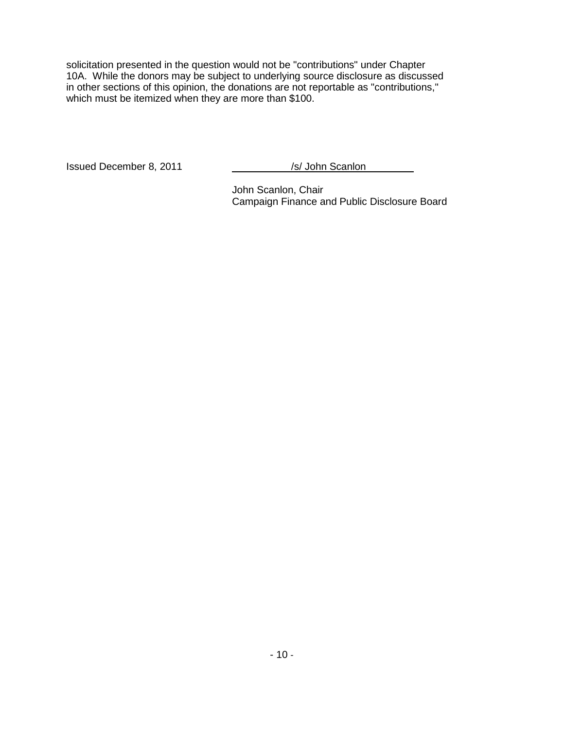solicitation presented in the question would not be "contributions" under Chapter 10A. While the donors may be subject to underlying source disclosure as discussed in other sections of this opinion, the donations are not reportable as "contributions," which must be itemized when they are more than \$100.

Issued December 8, 2011 /s/ John Scanlon

John Scanlon, Chair Campaign Finance and Public Disclosure Board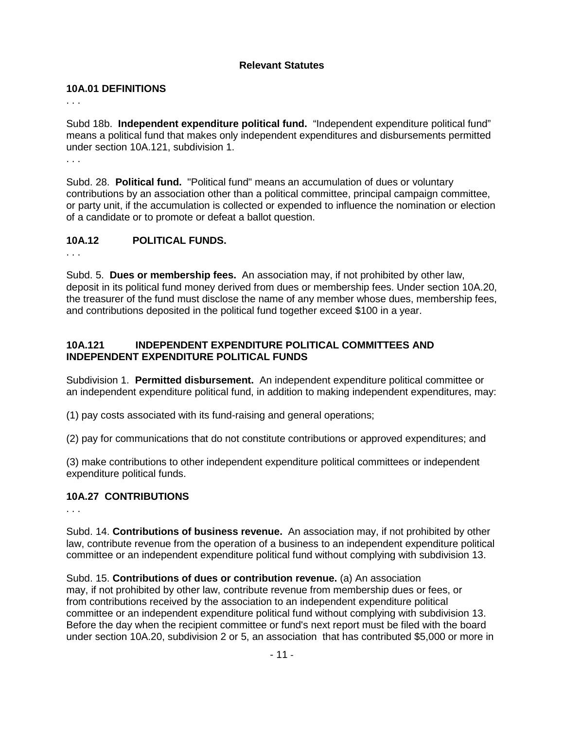# **Relevant Statutes**

### **10A.01 DEFINITIONS**

. . .

Subd 18b. **Independent expenditure political fund.** "Independent expenditure political fund" means a political fund that makes only independent expenditures and disbursements permitted under section 10A.121, subdivision 1.

. . .

Subd. 28. **Political fund.** "Political fund" means an accumulation of dues or voluntary contributions by an association other than a political committee, principal campaign committee, or party unit, if the accumulation is collected or expended to influence the nomination or election of a candidate or to promote or defeat a ballot question.

# **10A.12 POLITICAL FUNDS.**

. . .

Subd. 5. **Dues or membership fees.** An association may, if not prohibited by other law, deposit in its political fund money derived from dues or membership fees. Under section 10A.20, the treasurer of the fund must disclose the name of any member whose dues, membership fees, and contributions deposited in the political fund together exceed \$100 in a year.

# **10A.121 INDEPENDENT EXPENDITURE POLITICAL COMMITTEES AND INDEPENDENT EXPENDITURE POLITICAL FUNDS**

Subdivision 1. **Permitted disbursement.** An independent expenditure political committee or an independent expenditure political fund, in addition to making independent expenditures, may:

(1) pay costs associated with its fund-raising and general operations;

(2) pay for communications that do not constitute contributions or approved expenditures; and

(3) make contributions to other independent expenditure political committees or independent expenditure political funds.

# **10A.27 CONTRIBUTIONS**

. . .

Subd. 14. **Contributions of business revenue.** An association may, if not prohibited by other law, contribute revenue from the operation of a business to an independent expenditure political committee or an independent expenditure political fund without complying with subdivision 13.

Subd. 15. **Contributions of dues or contribution revenue.** (a) An association may, if not prohibited by other law, contribute revenue from membership dues or fees, or from contributions received by the association to an independent expenditure political committee or an independent expenditure political fund without complying with subdivision 13. Before the day when the recipient committee or fund's next report must be filed with the board under section 10A.20, subdivision 2 or 5, an association that has contributed \$5,000 or more in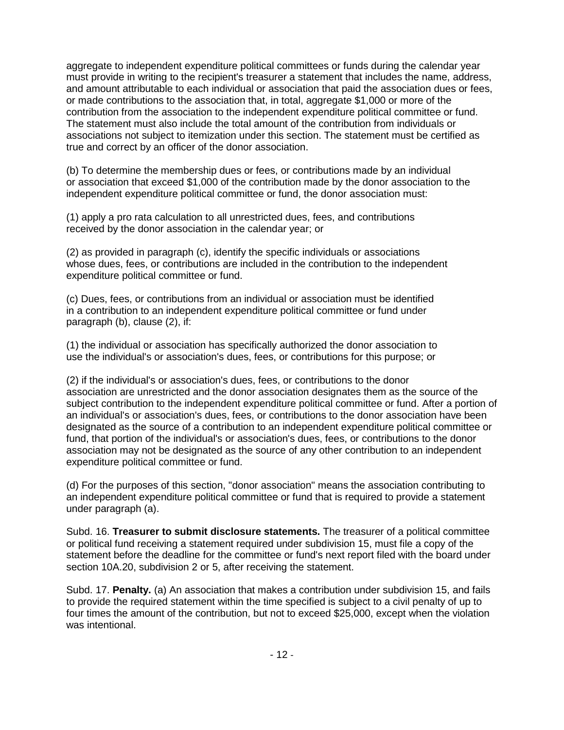aggregate to independent expenditure political committees or funds during the calendar year must provide in writing to the recipient's treasurer a statement that includes the name, address, and amount attributable to each individual or association that paid the association dues or fees, or made contributions to the association that, in total, aggregate \$1,000 or more of the contribution from the association to the independent expenditure political committee or fund. The statement must also include the total amount of the contribution from individuals or associations not subject to itemization under this section. The statement must be certified as true and correct by an officer of the donor association.

(b) To determine the membership dues or fees, or contributions made by an individual or association that exceed \$1,000 of the contribution made by the donor association to the independent expenditure political committee or fund, the donor association must:

(1) apply a pro rata calculation to all unrestricted dues, fees, and contributions received by the donor association in the calendar year; or

(2) as provided in paragraph (c), identify the specific individuals or associations whose dues, fees, or contributions are included in the contribution to the independent expenditure political committee or fund.

(c) Dues, fees, or contributions from an individual or association must be identified in a contribution to an independent expenditure political committee or fund under paragraph (b), clause (2), if:

(1) the individual or association has specifically authorized the donor association to use the individual's or association's dues, fees, or contributions for this purpose; or

(2) if the individual's or association's dues, fees, or contributions to the donor association are unrestricted and the donor association designates them as the source of the subject contribution to the independent expenditure political committee or fund. After a portion of an individual's or association's dues, fees, or contributions to the donor association have been designated as the source of a contribution to an independent expenditure political committee or fund, that portion of the individual's or association's dues, fees, or contributions to the donor association may not be designated as the source of any other contribution to an independent expenditure political committee or fund.

(d) For the purposes of this section, "donor association" means the association contributing to an independent expenditure political committee or fund that is required to provide a statement under paragraph (a).

Subd. 16. **Treasurer to submit disclosure statements.** The treasurer of a political committee or political fund receiving a statement required under subdivision 15, must file a copy of the statement before the deadline for the committee or fund's next report filed with the board under section 10A.20, subdivision 2 or 5, after receiving the statement.

Subd. 17. **Penalty.** (a) An association that makes a contribution under subdivision 15, and fails to provide the required statement within the time specified is subject to a civil penalty of up to four times the amount of the contribution, but not to exceed \$25,000, except when the violation was intentional.